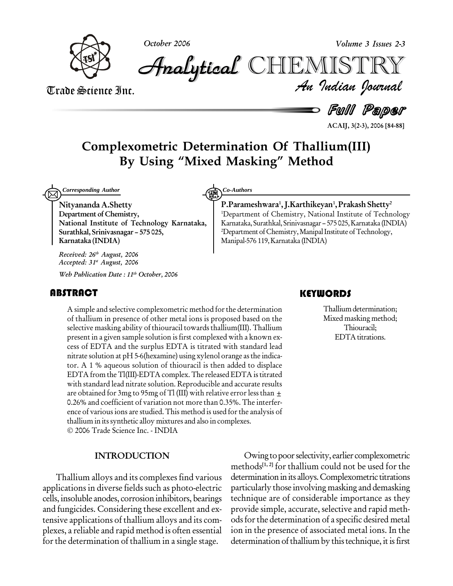

**October 2006 Volume 3 Issues 2-3**

*Volume 3 Issues 2-3*<br>IISTRY<br>*Indian Iournal* **Analytical** CHIEMIST

Trade Science Inc. Trade Science Inc.

d Full Paper

**ACAIJ, 3(2-3), 2006 [84-88]**

# **Complexometric Determination OfThallium(III) By Using ìMixed Maskingî Method**

*Corresponding Author* **Community Co-Authors** 

**Nityananda A.Shetty Department of Chemistry, National Institute of Technology Karnataka, Surathkal, Srinivasnagar ñ 575 025, Karnataka (INDIA)**

**Received: 26 th August, 2006 Accepted: 31 st August, 2006**

**Web Publication Date : 11 th October, 2006**

## **ABSTRACT**

A simple and selective<br>of thallium in presenc<br>selective masking abilit A simple and selective complexometric method forthe determination of thallium in presence of other metal ions is proposed based on the selective masking ability of thiouracil towards thallium(III). Thallium present in a given sample solution is first complexed with a known ex cess of EDTA and the surplus EDTA is titrated with standard lead nitrate solution at  $pH$  5-6(hexamine) using xylenol orange as the indicator. A 1 % aqueous solution of thiouracil is then added to displace EDTA from the Tl(III)-EDTA complex. The released EDTA is titrated with standard lead nitrate solution. Reproducible and accurate results are obtained for 3mg to 95mg of Tl (III) with relative error less than  $\pm$ 0.26% and coefficient of variation not more than 0.35%. The interfer ence of various ions are studied.This method is used forthe analysis of thallium in itssynthetic alloy mixtures and also in complexes. 2006 Trade Science Inc. - INDIA

#### **INTRODUCTION**

Thallium alloys and its complexes find various applications in diverse fields such as photo-electric cells, insoluble anodes, corrosion inhibitors, bearings and fungicides. Considering these excellent and ex tensive applications of thallium alloys and its com plexes, a reliable and rapid method is often essential for the determination of thallium in a single stage.

#### **P.Parameshwara 1 ,J.Karthikeyan 1 ,Prakash Shetty 2** <sup>1</sup>Department of Chemistry, National Institute of Technology Karnataka, Surathkal, Srinivasnagar - 575 025, Karnataka (INDIA)

<sup>2</sup>Department of Chemistry, Manipal Institute of Technology, Manipal-576 119,Karnataka (INDIA)

## **KEYWORDS**

Thallium determina<br>Mixed masking met<br>Thiouracil; Thallium determination; Mixed masking method; Thiouracil; EDTA titrations.

Owing topoorselectivity, earlier complexometric methods **[1, 2]** for thallium could not be used for the determination in its alloys. Complexometric titrations particularly those involving masking and demasking technique are of considerable importance as they provide simple, accurate, selective and rapid meth ods for the determination of a specific desired metal ion in the presence of associated metal ions. In the determination of thallium by this technique, it is first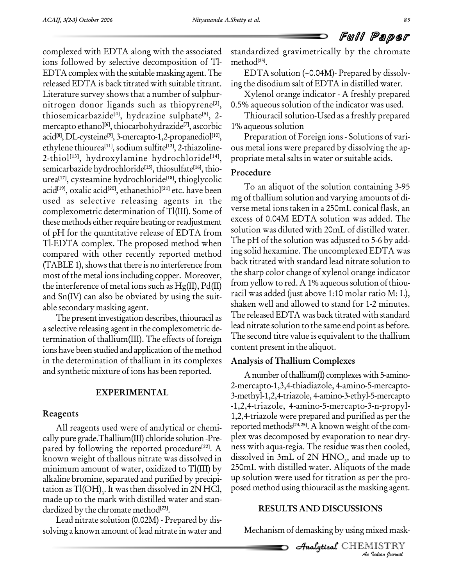complexed with EDTA along with the associated ions followed by selective decomposition of Tl- EDTA complex with the suitable masking agent. The released EDTA is back titrated with suitable titrant. Literature survey shows that a number of sulphur nitrogen donor ligands such as thiopyrene **[3]**, thiosemicarbazide **[4]**, hydrazine sulphate **[5]**, 2 mercapto ethanol **[6]**, thiocarbohydrazide **[7]**, ascorbic acid **[8]**, DL-cysteine **[9]**, 3-mercapto-1,2-propanediol **[10]**, ethylene thiourea **[11]**, sodium sulfite **[12]**, 2-thiazoline- 2-thiol **[13]**, hydroxylamine hydrochloride **[14]**, semicarbazide hydrochloride **[15]**, thiosulfate **[16]**, thio urea **[17]**, cysteamine hydrochloride **[18]**, thioglycolic acid **[19]**, oxalic acid **[20]**, ethanethiol **[21]** etc. have been used as selective releasing agents in the complexometric determination of Tl(III). Some of these methods either require heating or readjustment of pH for the quantitative release of EDTA from Tl-EDTA complex. The proposed method when compared with other recently reported method (TABLE 1), shows that there is no interference from most of the metal ionsincluding copper. Moreover, the interference of metal ions such as Hg(II), Pd(II) and Sn(IV) can also be obviated by using the suit able secondary masking agent.

The present investigation describes, thiouracil as a selective releasing agent in the complexometric determination of thallium(III). The effects of foreign ions have been studied and application of the method in the determination of thallium in its complexes and synthetic mixture of ions has been reported.

## **EXPERIMENTAL**

## **Reagents**

All reagents used were of analytical or chemi cally pure grade.Thallium(III) chloride solution -Pre pared by following the reported procedure<sup>[22]</sup>. A known weight of thallous nitrate was dissolved in minimum amount of water, oxidized to Tl(III) by alkaline bromine, separated and purified by precipi tation as  $T1(OH)$ <sub>3</sub>. It was then dissolved in 2N HCl, posed n made up to the mark with distilled water and stan dardized by the chromate method **[23]**.

Lead nitrate solution (0.02M) - Prepared by dis solving a known amount of lead nitrate in water and standardized gravimetrically by the chromate method **[23]**.

EDTA solution  $(\sim 0.04M)$ - Prepared by dissolving the disodium salt of EDTA in distilled water.

Xylenol orange indicator - A freshly prepared 0.5% aqueous solution of the indicator was used.

Thiouracil solution-Used as a freshly prepared 1% aqueous solution

Preparation of Foreign ions - Solutions of vari ous metal ions were prepared by dissolving the ap propriate metal salts in water or suitable acids.

## **Procedure**

To an aliquot of the solution containing 3-95 mg of thallium solution and varying amounts of di verse metal ions taken in a 250mL conical flask, an excess of 0.04M EDTA solution was added. The solution was diluted with 20mL of distilled water. The pH of the solution was adjusted to 5-6 by add ing solid hexamine. The uncomplexed EDTA was back titrated with standard lead nitrate solution to the sharp color change of xylenol orange indicator from yellow to red. A 1% aqueous solution of thiouracil was added (just above 1:10 molar ratio M: L), shaken well and allowed to stand for 1-2 minutes. The releasedEDTA was back titrated with standard lead nitrate solution to the same end point as before. The second titre value is equivalent to the thallium content present in the aliquot.

## **Analysis of Thallium Complexes**

*An*posed method using thiouracil asthe masking agent.  $\overline{a}$ **[22]**. A ness with aqua-regia. The residue was then cooled, A number of thallium(I) complexes with 5-amino-2-mercapto-1,3,4-thiadiazole, 4-amino-5-mercapto- 3-methyl-1,2,4-triazole, 4-amino-3-ethyl-5-mercapto -1,2,4-triazole, 4-amino-5-mercapto-3-n-propyl- 1,2,4-triazole were prepared and purified as perthe reported methods<sup>[24,25]</sup>. A known weight of the complex was decomposed by evaporation to near dry dissolved in  $3mL$  of  $2N$  HNO<sub>3</sub>, and made up to 250mL with distilled water. Aliquots of the made up solution were used for titration as per the pro-

## **RESULTS AND DISCUSSIONS**

Mechanism of demasking by using mixed mask-

*India*<br>*Indian*<br>*IISTRY*<br>*Indian hournal* CHEMISTRY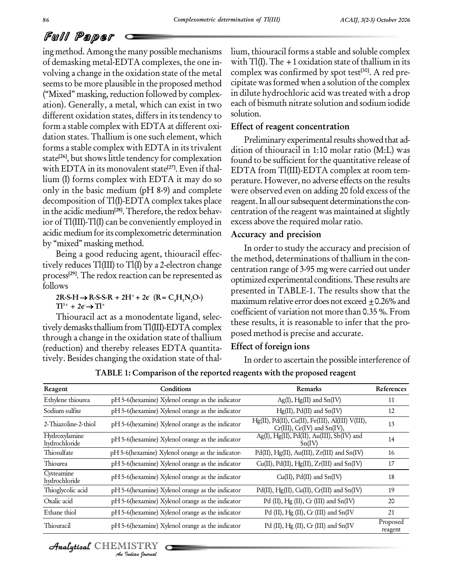## Full Paper

ing method. Among the many possible mechanisms of demasking metal-EDTA complexes, the one in volving a change in the oxidation state of the metal seemsto be more plausible in the proposed method ("Mixed" masking, reduction followed by complexation). Generally, a metal, which can exist in two different oxidation states, differs in its tendency to form a stable complex with EDTA at different oxi dation states. Thallium is one such element, which forms a stable complex with EDTA in its trivalent state<sup>[26]</sup>, but shows little tendency for complexation found to with EDTA in its monovalent state **[27]**. Even if thal lium (I) forms complex with EDTA it may do so only in the basic medium (pH 8-9) and complete decomposition ofTl(I)-EDTA complex takes place in the acidic medium<sup>[28]</sup>. Therefore, the redox behavior of Tl(III)-Tl(I) can be conveniently employed in acidic medium for its complexometric determination by "mixed" masking method.

Being a good reducing agent, thiouracil effec tively reduces Tl(III) to Tl(I) by a 2-electron change process<sup>[29]</sup>. The redox reaction can be represented as **contingly** follows  $2R-S-H \rightarrow R-S-S-R + 2H^+ + 2e$   $(R = C_4H_3N_2O^-)$ <br>  $T^{13+} + 2e^- \rightarrow T^{1+}$ 

 $Tl^{3+} + 2e \rightarrow Tl^{+}$ 

Thiouracil act as a monodentate ligand, selec tively demasks thallium from Tl(III)-EDTA complex through a change in the oxidation state of thallium (reduction) and thereby releases EDTA quantita tively. Besides changing the oxidation state of thallium, thiouracil forms a stable and soluble complex with  $T1(I)$ . The  $+1$  oxidation state of thallium in its complex was confirmed by spot test **[30]**. A red pre cipitate was formed when a solution of the complex in dilute hydrochloric acid was treated with a drop each of bismuth nitrate solution and sodium iodide solution.

#### **Effect of reagent concentration**

Preliminary experimental results showed that addition of thiouracil in 1:10 molar ratio (M:L) was found to be sufficient forthe quantitative release of EDTA from Tl(III)-EDTA complex at room tem perature. However, no adverse effects on the results were observed even on adding 20 fold excess of the reagent. In all our subsequent determinations the concentration of the reagent was maintained at slightly excess above the required molar ratio.

#### **Accuracy and precision**

In order to study the accuracy and precision of the method, determinations of thallium in the con centration range of 3-95 mg were carried out under optimized experimental conditions.These results are presented in TABLE-1. The results show that the maximum relative error does not exceed  $\pm$ 0.26% and coefficient of variation not more than 0.35 %. From these results, it is reasonable to infer that the pro posed method is precise and accurate.

## **Effect of foreign ions**

In order to ascertain the possible interference of

| TABLE 1: Comparison of the reported reagents with the proposed reagent |  |  |
|------------------------------------------------------------------------|--|--|
|                                                                        |  |  |

| Reagent                        | Conditions                                        | Remarks                                                                                 | References          |
|--------------------------------|---------------------------------------------------|-----------------------------------------------------------------------------------------|---------------------|
| Ethylene thiourea              | pH 5-6(hexamine) Xylenol orange as the indicator  | $Ag(I), Hg(II)$ and $Sn(IV)$                                                            | 11                  |
| Sodium sulfite                 | pH 5-6(hexamine) Xylenol orange as the indicator  | $Hg(II)$ , $Pd(II)$ and $Sn(IV)$                                                        | 12                  |
| 2-Thiazoline-2-thiol           | pH 5-6(hexamine) Xylenol orange as the indicator  | Hg(II), Pd(II), Cu(II), Fe(III), Al(III) V(III),<br>$Cr(III)$ , $Ce(IV)$ and $Sn(IV)$ , | 13                  |
| Hydroxylamine<br>hydrochloride | pH 5-6(hexamine) Xylenol orange as the indicator  | Ag(I), Hg(II), Pd(II), Au(III), Sb(IV) and<br>Sn(IV)                                    | 14                  |
| Thiosulfate                    | pH 5-6(hexamine) Xylenol orange as the indicator- | $Pd(II)$ , Hg(II), Au(III), Zr(III) and Sn(IV)                                          | 16                  |
| Thiourea                       | pH 5-6(hexamine) Xylenol orange as the indicator  | $Cu(II)$ , $Pd(II)$ , $Hg(II)$ , $Zr(III)$ and $Sn(IV)$                                 | 17                  |
| Cysteamine<br>hydrochloride    | pH 5-6(hexamine) Xylenol orange as the indicator  | $Cu(II)$ , $Pd(II)$ and $Sn(IV)$                                                        | 18                  |
| Thioglycolic acid              | pH 5-6(hexamine) Xylenol orange as the indicator  | Pd(II), Hg(II), Cu(II), Cr(III) and Sn(IV)                                              | 19                  |
| Oxalic acid                    | pH 5-6(hexamine) Xylenol orange as the indicator  | Pd (II), Hg (II), Cr (III) and Sn(IV)                                                   | 20                  |
| Ethane thiol                   | pH 5-6(hexamine) Xylenol orange as the indicator  | Pd (II), Hg (II), Cr (III) and Sn(IV                                                    | 21                  |
| Thiouracil                     | pH 5-6(hexamine) Xylenol orange as the indicator  | Pd (II), Hg (II), Cr (III) and Sn(IV                                                    | Proposed<br>reagent |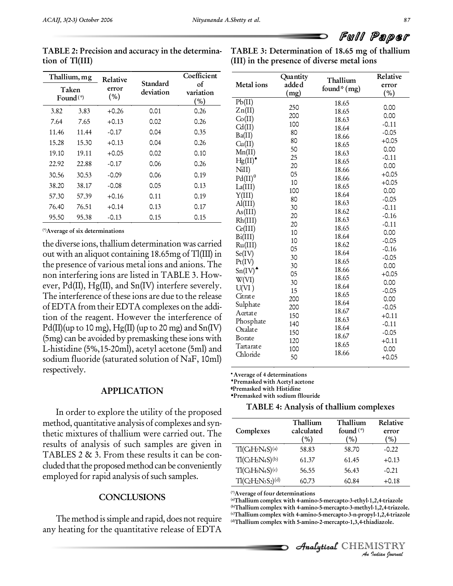| Thallium, mg<br>Taken<br>Found $(*)$ |       | Relative     |                       | Coefficient            |                      |
|--------------------------------------|-------|--------------|-----------------------|------------------------|----------------------|
|                                      |       | error<br>(%) | Standard<br>deviation | οf<br>variation<br>(%) | Me<br>P <sub>b</sub> |
| 3.82                                 | 3.83  | $+0.26$      | 0.01                  | 0.26                   | Zn                   |
| 7.64                                 | 7.65  | $+0.13$      | 0.02                  | 0.26                   | Co<br>Cd             |
| 11.46                                | 11.44 | $-0.17$      | 0.04                  | 0.35                   | Ba(                  |
| 15.28                                | 15.30 | $+0.13$      | 0.04                  | 0.26                   | Сu                   |
| 19.10                                | 19.11 | $+0.05$      | 0.02                  | 0.10                   | Mn                   |
| 22.92                                | 22.88 | $-0.17$      | 0.06                  | 0.26                   | Hg                   |
| 30.56                                | 30.53 | $-0.09$      | 0.06                  | 0.19                   | Nil<br>Pd            |
| 38.20                                | 38.17 | $-0.08$      | 0.05                  | 0.13                   | La(                  |
| 57.30                                | 57.39 | $+0.16$      | 0.11                  | 0.19                   | Y(I                  |
| 76.40                                | 76.51 | $+0.14$      | 0.13                  | 0.17                   | Al(                  |
| 95.50                                | 95.38 | $-0.13$      | 0.15                  | 0.15                   | As<br>Rh.            |

**TABLE 2: Precision and accuracy in the determina tion of Tl(III)**

**TABLE 3: Determination of 18.65 mg of thallium (III) in the presence of diverse metal ions**

| (*) Average of six determinations |  |
|-----------------------------------|--|
|-----------------------------------|--|

the diverse ions, thallium determination was carried out with an aliquot containing  $18.65mg$  of  $T1(III)$  in the presence of various metal ions and anions. The non interfering ions are listed in TABLE 3. How ever,  $Pd(II)$ ,  $Hg(II)$ , and  $Sn(IV)$  interfere severely. The interference of these ions are due to the release of EDTA from their EDTA complexes on the addi tion of the reagent. However the interference of  $Pd(\Pi)$ (up to 10 mg), Hg(II) (up to 20 mg) and Sn(IV) (5mg) can be avoided by premasking these ions with L-histidine (5%,15-20ml), acetyl acetone (5ml) and sodium fluoride (saturated solution of NaF, 10ml) respectively.

#### **APPLICATION**

In order to explore the utility of the proposed method, quantitative analysis of complexes and syn thetic mixtures of thallium were carried out.The results of analysis of such samples are given in TABLES 2 & 3. From these results it can be con cluded that the proposed method can be conveniently employed for rapid analysis of such samples.

#### **CONCLUSIONS**

The method is simple and rapid, does not require any heating for the quantitative release of EDTA

| Metal ions         | Quantity<br>adde d | Thallium<br>found* (mg) | Relative<br>error  |
|--------------------|--------------------|-------------------------|--------------------|
|                    | (mg)               |                         | (%)                |
| Pb(II)             |                    | 18.65                   |                    |
| Zn(II)             | 250                | 18.65                   | 0.00               |
| Co(II)             | 200                | 18.63                   | 0.00               |
| Cd(II)             | 100                | 18.64                   | $-0.11$            |
| Ba(II)             | 80                 | 18.66                   | $-0.05$            |
| Cu(II)             | 80                 | 18.65                   | $+0.05$            |
| Mn(II)             | 50                 | 18.63                   | 0.00               |
| $Hg(II)^*$         | 25                 | 18.65                   | $-0.11$            |
| N <sub>i</sub> II) | 20<br>05           | 18.66                   | 0.00<br>$+0.05$    |
| $Pd(II)^\theta$    |                    | 18.66                   |                    |
| La(III)            | 10<br>100          | 18.65                   | $+0.05$<br>0.00    |
| Y(III)             | 80                 | 18.64                   |                    |
| $\text{Al(III)}$   | 30                 | 18.63                   | $-0.05$            |
| As(III)            |                    | 18.62                   | $-0.11$            |
| Rh(III)            | 20<br>20           | 18.63                   | $-0.16$<br>$-0.11$ |
| Ce(III)            | 10                 | 18.65                   | 0.00               |
| Bi(III)            | 10                 | 18.64                   | $-0.05$            |
| Ru(III)            | 05                 | 18.62                   | $-0.16$            |
| Se(IV)             | 30                 | 18.64                   | $-0.05$            |
| Pt(IV)             | 30                 | 18.65                   | 0.00               |
| $Sn(IV)^*$         | 05                 | 18.66                   | $+0.05$            |
| W(VI)              | 30                 | 18.65                   | 0.00               |
| U(VI)              | 15                 | 18.64                   | $-0.05$            |
| Citrate            | 200                | 18.65                   | 0.00               |
| Sulphate           | 200                | 18.64                   | $-0.05$            |
| Acetate            | 150                | 18.67                   | $+0.11$            |
| Phosphate          | 140                | 18.63                   | $-0.11$            |
| Oxalate            | 150                | 18.64                   | $-0.05$            |
| Borate             | 120                | 18.67                   | $+0.11$            |
| Tartarate          | 100                | 18.65                   | 0.00               |
| Chloride           | 50                 | 18.66                   | $+0.05$            |

**Average of 4 determinations**

**Premasked with Acetyl acetone**

**Premasked with Histidine Premasked with sodium fllouride**

**TABLE 4: Analysis of thallium complexes**

| Complexes                | Thallium<br>calculated<br>$\mathcal{O}_0$ | Thallium<br>found $(*)$<br>$\%$ | Relative<br>error<br>$\mathcal{O}_0$ |
|--------------------------|-------------------------------------------|---------------------------------|--------------------------------------|
| $T1(C_4H_7N_4S)^{(a)}$   | 58.83                                     | 58.70                           | $-0.22$                              |
| $T1(C_3H_5N_4S)^{(b)}$   | 61.37                                     | 61.45                           | $+0.13$                              |
| $T1(C_5H_9N_4S)^{(c)}$   | 56.55                                     | 56.43                           | $-0.21$                              |
| $T1(C_2H_2N_3S_2)^{(d)}$ | 60.73                                     | 60.84                           | $+0.18$                              |

**(\*)Average of four determinations**

1,2,4-triazole<br>1-1,2,4-triazole.<br>yl-1,2,4-triazole<br>iadiazole.<br>IISTRY <sup>(9</sup>Average of four determinations<br><sup>(a)</sup>Thallium complex with 4-amino-5-mercapto-3-ethyl-1,2,4-triazole **(b)Thallium complex with 4-amino-5-mercapto-3-methyl-1,2,4-triazole. (c)Thallium complex with 4-amino-5-mercapto-3-n-propyl-1,2,4-triazole (d)Thallium complex with 5-amino-2-mercapto-1,3,4-thiadiazole.**